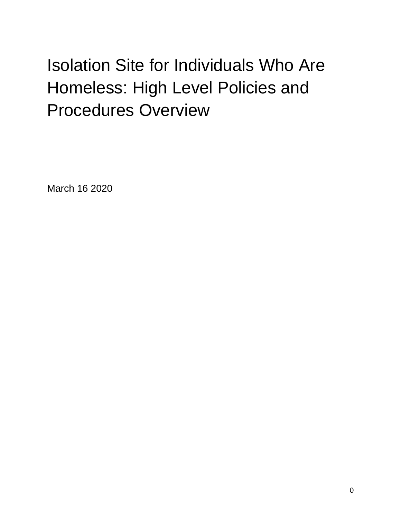# Isolation Site for Individuals Who Are Homeless: High Level Policies and Procedures Overview

March 16 2020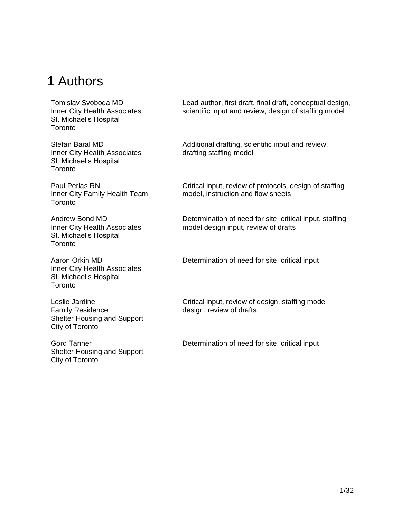## <span id="page-1-0"></span>1 Authors

Tomislav Svoboda MD Inner City Health Associates St. Michael's Hospital **Toronto** 

Stefan Baral MD Inner City Health Associates St. Michael's Hospital **Toronto** 

Paul Perlas RN Inner City Family Health Team **Toronto** 

Andrew Bond MD Inner City Health Associates St. Michael's Hospital **Toronto** 

Aaron Orkin MD Inner City Health Associates St. Michael's Hospital **Toronto** 

Leslie Jardine Family Residence Shelter Housing and Support City of Toronto

<span id="page-1-1"></span>Gord Tanner Shelter Housing and Support City of Toronto

Lead author, first draft, final draft, conceptual design, scientific input and review, design of staffing model

Additional drafting, scientific input and review, drafting staffing model

Critical input, review of protocols, design of staffing model, instruction and flow sheets

Determination of need for site, critical input, staffing model design input, review of drafts

Determination of need for site, critical input

Critical input, review of design, staffing model design, review of drafts

Determination of need for site, critical input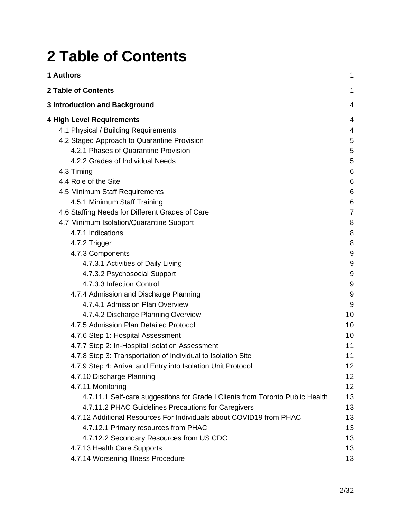# **2 Table of Contents**

| 1 Authors                                                                     | 1  |
|-------------------------------------------------------------------------------|----|
| <b>2 Table of Contents</b>                                                    | 1  |
| <b>3 Introduction and Background</b>                                          | 4  |
| 4 High Level Requirements                                                     | 4  |
| 4.1 Physical / Building Requirements                                          | 4  |
| 4.2 Staged Approach to Quarantine Provision                                   | 5  |
| 4.2.1 Phases of Quarantine Provision                                          | 5  |
| 4.2.2 Grades of Individual Needs                                              | 5  |
| 4.3 Timing                                                                    | 6  |
| 4.4 Role of the Site                                                          | 6  |
| 4.5 Minimum Staff Requirements                                                | 6  |
| 4.5.1 Minimum Staff Training                                                  | 6  |
| 4.6 Staffing Needs for Different Grades of Care                               | 7  |
| 4.7 Minimum Isolation/Quarantine Support                                      | 8  |
| 4.7.1 Indications                                                             | 8  |
| 4.7.2 Trigger                                                                 | 8  |
| 4.7.3 Components                                                              | 9  |
| 4.7.3.1 Activities of Daily Living                                            | 9  |
| 4.7.3.2 Psychosocial Support                                                  | 9  |
| 4.7.3.3 Infection Control                                                     | 9  |
| 4.7.4 Admission and Discharge Planning                                        | 9  |
| 4.7.4.1 Admission Plan Overview                                               | 9  |
| 4.7.4.2 Discharge Planning Overview                                           | 10 |
| 4.7.5 Admission Plan Detailed Protocol                                        | 10 |
| 4.7.6 Step 1: Hospital Assessment                                             | 10 |
| 4.7.7 Step 2: In-Hospital Isolation Assessment                                | 11 |
| 4.7.8 Step 3: Transportation of Individual to Isolation Site                  | 11 |
| 4.7.9 Step 4: Arrival and Entry into Isolation Unit Protocol                  | 12 |
| 4.7.10 Discharge Planning                                                     | 12 |
| 4.7.11 Monitoring                                                             | 12 |
| 4.7.11.1 Self-care suggestions for Grade I Clients from Toronto Public Health | 13 |
| 4.7.11.2 PHAC Guidelines Precautions for Caregivers                           | 13 |
| 4.7.12 Additional Resources For Individuals about COVID19 from PHAC           | 13 |
| 4.7.12.1 Primary resources from PHAC                                          | 13 |
| 4.7.12.2 Secondary Resources from US CDC                                      | 13 |
| 4.7.13 Health Care Supports                                                   | 13 |
| 4.7.14 Worsening Illness Procedure                                            | 13 |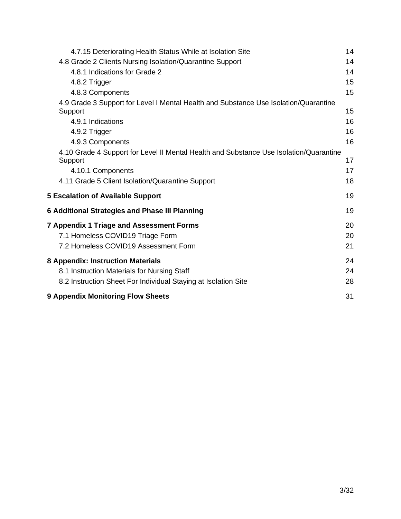| 4.7.15 Deteriorating Health Status While at Isolation Site                                        | 14 |
|---------------------------------------------------------------------------------------------------|----|
| 4.8 Grade 2 Clients Nursing Isolation/Quarantine Support                                          | 14 |
| 4.8.1 Indications for Grade 2                                                                     | 14 |
| 4.8.2 Trigger                                                                                     | 15 |
| 4.8.3 Components                                                                                  | 15 |
| 4.9 Grade 3 Support for Level I Mental Health and Substance Use Isolation/Quarantine<br>Support   | 15 |
| 4.9.1 Indications                                                                                 | 16 |
| 4.9.2 Trigger                                                                                     | 16 |
| 4.9.3 Components                                                                                  | 16 |
| 4.10 Grade 4 Support for Level II Mental Health and Substance Use Isolation/Quarantine<br>Support | 17 |
| 4.10.1 Components                                                                                 | 17 |
| 4.11 Grade 5 Client Isolation/Quarantine Support                                                  | 18 |
| <b>5 Escalation of Available Support</b>                                                          | 19 |
| 6 Additional Strategies and Phase III Planning                                                    | 19 |
| <b>7 Appendix 1 Triage and Assessment Forms</b>                                                   | 20 |
| 7.1 Homeless COVID19 Triage Form                                                                  | 20 |
| 7.2 Homeless COVID19 Assessment Form                                                              | 21 |
| 8 Appendix: Instruction Materials                                                                 | 24 |
| 8.1 Instruction Materials for Nursing Staff                                                       | 24 |
| 8.2 Instruction Sheet For Individual Staying at Isolation Site                                    | 28 |
| <b>9 Appendix Monitoring Flow Sheets</b>                                                          | 31 |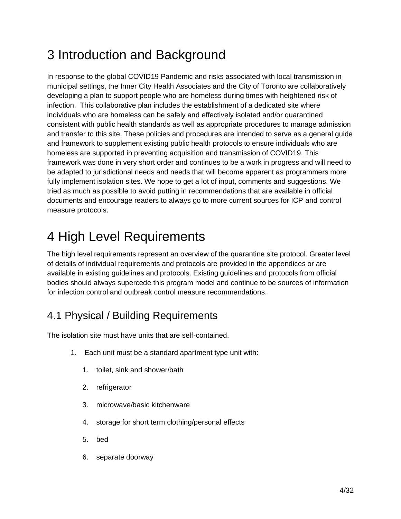# <span id="page-4-0"></span>3 Introduction and Background

In response to the global COVID19 Pandemic and risks associated with local transmission in municipal settings, the Inner City Health Associates and the City of Toronto are collaboratively developing a plan to support people who are homeless during times with heightened risk of infection. This collaborative plan includes the establishment of a dedicated site where individuals who are homeless can be safely and effectively isolated and/or quarantined consistent with public health standards as well as appropriate procedures to manage admission and transfer to this site. These policies and procedures are intended to serve as a general guide and framework to supplement existing public health protocols to ensure individuals who are homeless are supported in preventing acquisition and transmission of COVID19. This framework was done in very short order and continues to be a work in progress and will need to be adapted to jurisdictional needs and needs that will become apparent as programmers more fully implement isolation sites. We hope to get a lot of input, comments and suggestions. We tried as much as possible to avoid putting in recommendations that are available in official documents and encourage readers to always go to more current sources for ICP and control measure protocols.

# <span id="page-4-1"></span>4 High Level Requirements

The high level requirements represent an overview of the quarantine site protocol. Greater level of details of individual requirements and protocols are provided in the appendices or are available in existing guidelines and protocols. Existing guidelines and protocols from official bodies should always supercede this program model and continue to be sources of information for infection control and outbreak control measure recommendations.

## <span id="page-4-2"></span>4.1 Physical / Building Requirements

The isolation site must have units that are self-contained.

- 1. Each unit must be a standard apartment type unit with:
	- 1. toilet, sink and shower/bath
	- 2. refrigerator
	- 3. microwave/basic kitchenware
	- 4. storage for short term clothing/personal effects
	- 5. bed
	- 6. separate doorway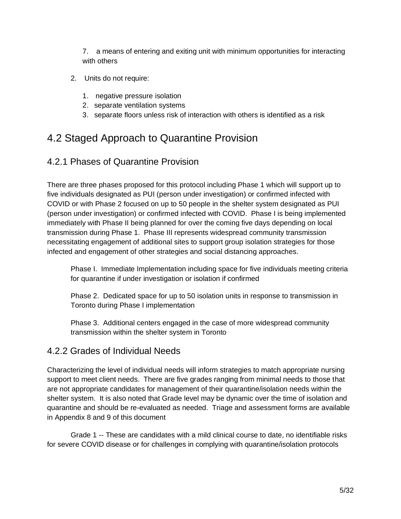7. a means of entering and exiting unit with minimum opportunities for interacting with others

- 2. Units do not require:
	- 1. negative pressure isolation
	- 2. separate ventilation systems
	- 3. separate floors unless risk of interaction with others is identified as a risk

## <span id="page-5-0"></span>4.2 Staged Approach to Quarantine Provision

## <span id="page-5-1"></span>4.2.1 Phases of Quarantine Provision

There are three phases proposed for this protocol including Phase 1 which will support up to five individuals designated as PUI (person under investigation) or confirmed infected with COVID or with Phase 2 focused on up to 50 people in the shelter system designated as PUI (person under investigation) or confirmed infected with COVID. Phase I is being implemented immediately with Phase II being planned for over the coming five days depending on local transmission during Phase 1. Phase III represents widespread community transmission necessitating engagement of additional sites to support group isolation strategies for those infected and engagement of other strategies and social distancing approaches.

Phase I. Immediate Implementation including space for five individuals meeting criteria for quarantine if under investigation or isolation if confirmed

Phase 2. Dedicated space for up to 50 isolation units in response to transmission in Toronto during Phase I implementation

Phase 3. Additional centers engaged in the case of more widespread community transmission within the shelter system in Toronto

## <span id="page-5-2"></span>4.2.2 Grades of Individual Needs

Characterizing the level of individual needs will inform strategies to match appropriate nursing support to meet client needs. There are five grades ranging from minimal needs to those that are not appropriate candidates for management of their quarantine/isolation needs within the shelter system. It is also noted that Grade level may be dynamic over the time of isolation and quarantine and should be re-evaluated as needed. Triage and assessment forms are available in Appendix 8 and 9 of this document

Grade 1 -- These are candidates with a mild clinical course to date, no identifiable risks for severe COVID disease or for challenges in complying with quarantine/isolation protocols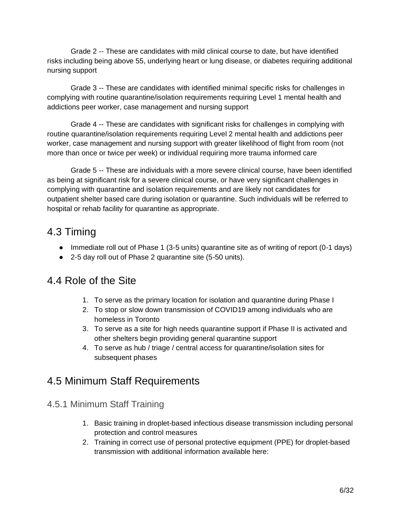Grade 2 -- These are candidates with mild clinical course to date, but have identified risks including being above 55, underlying heart or lung disease, or diabetes requiring additional nursing support

Grade 3 -- These are candidates with identified minimal specific risks for challenges in complying with routine quarantine/isolation requirements requiring Level 1 mental health and addictions peer worker, case management and nursing support

Grade 4 -- These are candidates with significant risks for challenges in complying with routine quarantine/isolation requirements requiring Level 2 mental health and addictions peer worker, case management and nursing support with greater likelihood of flight from room (not more than once or twice per week) or individual requiring more trauma informed care

Grade 5 -- These are individuals with a more severe clinical course, have been identified as being at significant risk for a severe clinical course, or have very significant challenges in complying with quarantine and isolation requirements and are likely not candidates for outpatient shelter based care during isolation or quarantine. Such individuals will be referred to hospital or rehab facility for quarantine as appropriate.

## <span id="page-6-0"></span>4.3 Timing

- Immediate roll out of Phase 1 (3-5 units) quarantine site as of writing of report (0-1 days)
- 2-5 day roll out of Phase 2 quarantine site (5-50 units).

## <span id="page-6-1"></span>4.4 Role of the Site

- 1. To serve as the primary location for isolation and quarantine during Phase I
- 2. To stop or slow down transmission of COVID19 among individuals who are homeless in Toronto
- 3. To serve as a site for high needs quarantine support if Phase II is activated and other shelters begin providing general quarantine support
- 4. To serve as hub / triage / central access for quarantine/isolation sites for subsequent phases

## <span id="page-6-2"></span>4.5 Minimum Staff Requirements

- <span id="page-6-3"></span>4.5.1 Minimum Staff Training
	- 1. Basic training in droplet-based infectious disease transmission including personal protection and control measures
	- 2. Training in correct use of personal protective equipment (PPE) for droplet-based transmission with additional information available here: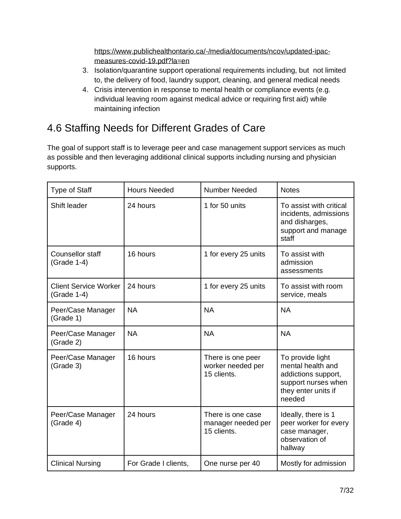[https://www.publichealthontario.ca/-/media/documents/ncov/updated-ipac](https://www.publichealthontario.ca/-/media/documents/ncov/updated-ipac-measures-covid-19.pdf?la=en)[measures-covid-19.pdf?la=en](https://www.publichealthontario.ca/-/media/documents/ncov/updated-ipac-measures-covid-19.pdf?la=en)

- 3. Isolation/quarantine support operational requirements including, but not limited to, the delivery of food, laundry support, cleaning, and general medical needs
- 4. Crisis intervention in response to mental health or compliance events (e.g. individual leaving room against medical advice or requiring first aid) while maintaining infection

## <span id="page-7-0"></span>4.6 Staffing Needs for Different Grades of Care

The goal of support staff is to leverage peer and case management support services as much as possible and then leveraging additional clinical supports including nursing and physician supports.

| <b>Type of Staff</b>                        | <b>Hours Needed</b>  | <b>Number Needed</b>                                   | <b>Notes</b>                                                                                                         |
|---------------------------------------------|----------------------|--------------------------------------------------------|----------------------------------------------------------------------------------------------------------------------|
| Shift leader                                | 24 hours             | 1 for 50 units                                         | To assist with critical<br>incidents, admissions<br>and disharges,<br>support and manage<br>staff                    |
| Counsellor staff<br>(Grade 1-4)             | 16 hours             | 1 for every 25 units                                   | To assist with<br>admission<br>assessments                                                                           |
| <b>Client Service Worker</b><br>(Grade 1-4) | 24 hours             | 1 for every 25 units                                   | To assist with room<br>service, meals                                                                                |
| Peer/Case Manager<br>(Grade 1)              | <b>NA</b>            | <b>NA</b>                                              | <b>NA</b>                                                                                                            |
| Peer/Case Manager<br>(Grade 2)              | <b>NA</b>            | <b>NA</b>                                              | <b>NA</b>                                                                                                            |
| Peer/Case Manager<br>(Grade 3)              | 16 hours             | There is one peer<br>worker needed per<br>15 clients.  | To provide light<br>mental health and<br>addictions support,<br>support nurses when<br>they enter units if<br>needed |
| Peer/Case Manager<br>(Grade 4)              | 24 hours             | There is one case<br>manager needed per<br>15 clients. | Ideally, there is 1<br>peer worker for every<br>case manager,<br>observation of<br>hallway                           |
| <b>Clinical Nursing</b>                     | For Grade I clients, | One nurse per 40                                       | Mostly for admission                                                                                                 |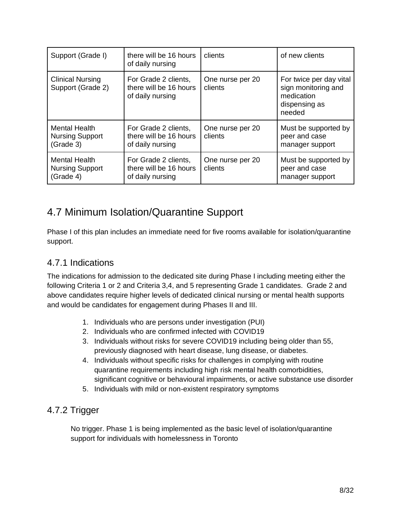| Support (Grade I)                                           | there will be 16 hours<br>of daily nursing                         | clients                     | of new clients                                                                          |
|-------------------------------------------------------------|--------------------------------------------------------------------|-----------------------------|-----------------------------------------------------------------------------------------|
| <b>Clinical Nursing</b><br>Support (Grade 2)                | For Grade 2 clients,<br>there will be 16 hours<br>of daily nursing | One nurse per 20<br>clients | For twice per day vital<br>sign monitoring and<br>medication<br>dispensing as<br>needed |
| <b>Mental Health</b><br><b>Nursing Support</b><br>(Grade 3) | For Grade 2 clients,<br>there will be 16 hours<br>of daily nursing | One nurse per 20<br>clients | Must be supported by<br>peer and case<br>manager support                                |
| <b>Mental Health</b><br><b>Nursing Support</b><br>(Grade 4) | For Grade 2 clients,<br>there will be 16 hours<br>of daily nursing | One nurse per 20<br>clients | Must be supported by<br>peer and case<br>manager support                                |

## <span id="page-8-0"></span>4.7 Minimum Isolation/Quarantine Support

Phase I of this plan includes an immediate need for five rooms available for isolation/quarantine support.

## <span id="page-8-1"></span>4.7.1 Indications

The indications for admission to the dedicated site during Phase I including meeting either the following Criteria 1 or 2 and Criteria 3,4, and 5 representing Grade 1 candidates. Grade 2 and above candidates require higher levels of dedicated clinical nursing or mental health supports and would be candidates for engagement during Phases II and III.

- 1. Individuals who are persons under investigation (PUI)
- 2. Individuals who are confirmed infected with COVID19
- 3. Individuals without risks for severe COVID19 including being older than 55, previously diagnosed with heart disease, lung disease, or diabetes.
- 4. Individuals without specific risks for challenges in complying with routine quarantine requirements including high risk mental health comorbidities, significant cognitive or behavioural impairments, or active substance use disorder
- 5. Individuals with mild or non-existent respiratory symptoms

## <span id="page-8-2"></span>4.7.2 Trigger

No trigger. Phase 1 is being implemented as the basic level of isolation/quarantine support for individuals with homelessness in Toronto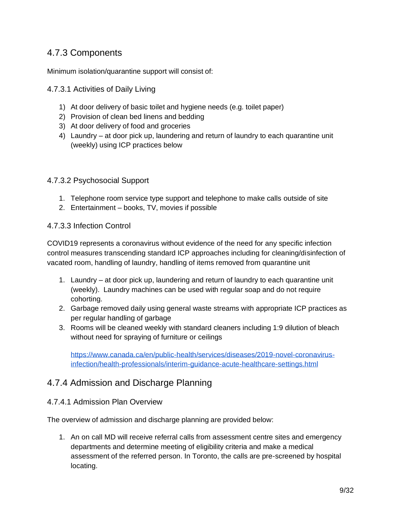## <span id="page-9-0"></span>4.7.3 Components

Minimum isolation/quarantine support will consist of:

#### <span id="page-9-1"></span>4.7.3.1 Activities of Daily Living

- 1) At door delivery of basic toilet and hygiene needs (e.g. toilet paper)
- 2) Provision of clean bed linens and bedding
- 3) At door delivery of food and groceries
- 4) Laundry at door pick up, laundering and return of laundry to each quarantine unit (weekly) using ICP practices below

#### <span id="page-9-2"></span>4.7.3.2 Psychosocial Support

- 1. Telephone room service type support and telephone to make calls outside of site
- 2. Entertainment books, TV, movies if possible

#### <span id="page-9-3"></span>4.7.3.3 Infection Control

COVID19 represents a coronavirus without evidence of the need for any specific infection control measures transcending standard ICP approaches including for cleaning/disinfection of vacated room, handling of laundry, handling of items removed from quarantine unit

- 1. Laundry at door pick up, laundering and return of laundry to each quarantine unit (weekly). Laundry machines can be used with regular soap and do not require cohorting.
- 2. Garbage removed daily using general waste streams with appropriate ICP practices as per regular handling of garbage
- 3. Rooms will be cleaned weekly with standard cleaners including 1:9 dilution of bleach without need for spraying of furniture or ceilings

[https://www.canada.ca/en/public-health/services/diseases/2019-novel-coronavirus](https://www.canada.ca/en/public-health/services/diseases/2019-novel-coronavirus-infection/health-professionals/interim-guidance-acute-healthcare-settings.html)[infection/health-professionals/interim-guidance-acute-healthcare-settings.html](https://www.canada.ca/en/public-health/services/diseases/2019-novel-coronavirus-infection/health-professionals/interim-guidance-acute-healthcare-settings.html)

### <span id="page-9-4"></span>4.7.4 Admission and Discharge Planning

#### <span id="page-9-5"></span>4.7.4.1 Admission Plan Overview

The overview of admission and discharge planning are provided below:

1. An on call MD will receive referral calls from assessment centre sites and emergency departments and determine meeting of eligibility criteria and make a medical assessment of the referred person. In Toronto, the calls are pre-screened by hospital locating.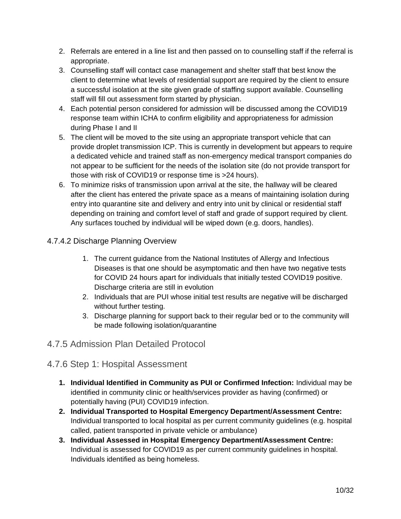- 2. Referrals are entered in a line list and then passed on to counselling staff if the referral is appropriate.
- 3. Counselling staff will contact case management and shelter staff that best know the client to determine what levels of residential support are required by the client to ensure a successful isolation at the site given grade of staffing support available. Counselling staff will fill out assessment form started by physician.
- 4. Each potential person considered for admission will be discussed among the COVID19 response team within ICHA to confirm eligibility and appropriateness for admission during Phase I and II
- 5. The client will be moved to the site using an appropriate transport vehicle that can provide droplet transmission ICP. This is currently in development but appears to require a dedicated vehicle and trained staff as non-emergency medical transport companies do not appear to be sufficient for the needs of the isolation site (do not provide transport for those with risk of COVID19 or response time is >24 hours).
- 6. To minimize risks of transmission upon arrival at the site, the hallway will be cleared after the client has entered the private space as a means of maintaining isolation during entry into quarantine site and delivery and entry into unit by clinical or residential staff depending on training and comfort level of staff and grade of support required by client. Any surfaces touched by individual will be wiped down (e.g. doors, handles).

### <span id="page-10-0"></span>4.7.4.2 Discharge Planning Overview

- 1. The current guidance from the National Institutes of Allergy and Infectious Diseases is that one should be asymptomatic and then have two negative tests for COVID 24 hours apart for individuals that initially tested COVID19 positive. Discharge criteria are still in evolution
- 2. Individuals that are PUI whose initial test results are negative will be discharged without further testing.
- 3. Discharge planning for support back to their regular bed or to the community will be made following isolation/quarantine

### <span id="page-10-1"></span>4.7.5 Admission Plan Detailed Protocol

### <span id="page-10-2"></span>4.7.6 Step 1: Hospital Assessment

- **1. Individual Identified in Community as PUI or Confirmed Infection:** Individual may be identified in community clinic or health/services provider as having (confirmed) or potentially having (PUI) COVID19 infection.
- **2. Individual Transported to Hospital Emergency Department/Assessment Centre:**  Individual transported to local hospital as per current community guidelines (e.g. hospital called, patient transported in private vehicle or ambulance)
- **3. Individual Assessed in Hospital Emergency Department/Assessment Centre:**  Individual is assessed for COVID19 as per current community guidelines in hospital. Individuals identified as being homeless.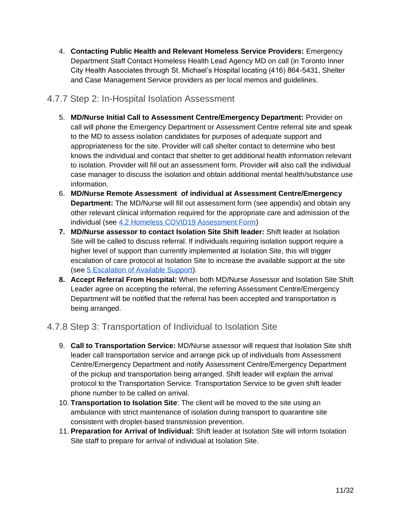4. **Contacting Public Health and Relevant Homeless Service Providers:** Emergency Department Staff Contact Homeless Health Lead Agency MD on call (in Toronto Inner City Health Associates through St. Michael's Hospital locating (416) 864-5431, Shelter and Case Management Service providers as per local memos and guidelines.

### <span id="page-11-0"></span>4.7.7 Step 2: In-Hospital Isolation Assessment

- 5. **MD/Nurse Initial Call to Assessment Centre/Emergency Department:** Provider on call will phone the Emergency Department or Assessment Centre referral site and speak to the MD to assess isolation candidates for purposes of adequate support and appropriateness for the site. Provider will call shelter contact to determine who best knows the individual and contact that shelter to get additional health information relevant to isolation. Provider will fill out an assessment form. Provider will also call the individual case manager to discuss the isolation and obtain additional mental health/substance use information.
- 6. **MD/Nurse Remote Assessment of individual at Assessment Centre/Emergency Department:** The MD/Nurse will fill out assessment form (see appendix) and obtain any other relevant clinical information required for the appropriate care and admission of the individual (see [4.2 Homeless COVID19 Assessment Form\)](#page-21-0)
- **7. MD/Nurse assessor to contact Isolation Site Shift leader:** Shift leader at Isolation Site will be called to discuss referral. If individuals requiring isolation support require a higher level of support than currently implemented at Isolation Site, this will trigger escalation of care protocol at Isolation Site to increase the available support at the site (see [5 Escalation of Available Support\)](#page-19-0).
- **8. Accept Referral From Hospital:** When both MD/Nurse Assessor and Isolation Site Shift Leader agree on accepting the referral, the referring Assessment Centre/Emergency Department will be notified that the referral has been accepted and transportation is being arranged.

## <span id="page-11-1"></span>4.7.8 Step 3: Transportation of Individual to Isolation Site

- 9. **Call to Transportation Service:** MD/Nurse assessor will request that Isolation Site shift leader call transportation service and arrange pick up of individuals from Assessment Centre/Emergency Department and notify Assessment Centre/Emergency Department of the pickup and transportation being arranged. Shift leader will explain the arrival protocol to the Transportation Service. Transportation Service to be given shift leader phone number to be called on arrival.
- 10. **Transportation to Isolation Site**: The client will be moved to the site using an ambulance with strict maintenance of isolation during transport to quarantine site consistent with droplet-based transmission prevention.
- 11. **Preparation for Arrival of Individual:** Shift leader at Isolation Site will inform Isolation Site staff to prepare for arrival of individual at Isolation Site.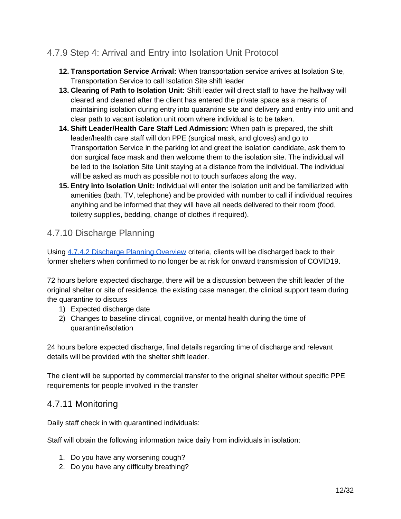## <span id="page-12-0"></span>4.7.9 Step 4: Arrival and Entry into Isolation Unit Protocol

- **12. Transportation Service Arrival:** When transportation service arrives at Isolation Site, Transportation Service to call Isolation Site shift leader
- **13. Clearing of Path to Isolation Unit:** Shift leader will direct staff to have the hallway will cleared and cleaned after the client has entered the private space as a means of maintaining isolation during entry into quarantine site and delivery and entry into unit and clear path to vacant isolation unit room where individual is to be taken.
- **14. Shift Leader/Health Care Staff Led Admission:** When path is prepared, the shift leader/health care staff will don PPE (surgical mask, and gloves) and go to Transportation Service in the parking lot and greet the isolation candidate, ask them to don surgical face mask and then welcome them to the isolation site. The individual will be led to the Isolation Site Unit staying at a distance from the individual. The individual will be asked as much as possible not to touch surfaces along the way.
- **15. Entry into Isolation Unit:** Individual will enter the isolation unit and be familiarized with amenities (bath, TV, telephone) and be provided with number to call if individual requires anything and be informed that they will have all needs delivered to their room (food, toiletry supplies, bedding, change of clothes if required).

## <span id="page-12-1"></span>4.7.10 Discharge Planning

Using [4.7.4.2 Discharge Planning Overview](#page-10-0) criteria, clients will be discharged back to their former shelters when confirmed to no longer be at risk for onward transmission of COVID19.

72 hours before expected discharge, there will be a discussion between the shift leader of the original shelter or site of residence, the existing case manager, the clinical support team during the quarantine to discuss

- 1) Expected discharge date
- 2) Changes to baseline clinical, cognitive, or mental health during the time of quarantine/isolation

24 hours before expected discharge, final details regarding time of discharge and relevant details will be provided with the shelter shift leader.

The client will be supported by commercial transfer to the original shelter without specific PPE requirements for people involved in the transfer

## <span id="page-12-2"></span>4.7.11 Monitoring

Daily staff check in with quarantined individuals:

Staff will obtain the following information twice daily from individuals in isolation:

- 1. Do you have any worsening cough?
- 2. Do you have any difficulty breathing?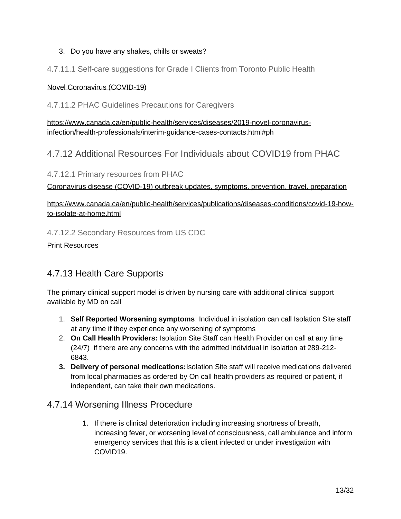#### 3. Do you have any shakes, chills or sweats?

<span id="page-13-0"></span>4.7.11.1 Self-care suggestions for Grade I Clients from Toronto Public Health

#### [Novel Coronavirus \(COVID-19\)](https://www.toronto.ca/community-people/health-wellness-care/diseases-medications-vaccines/coronavirus/)

<span id="page-13-1"></span>4.7.11.2 PHAC Guidelines Precautions for Caregivers

[https://www.canada.ca/en/public-health/services/diseases/2019-novel-coronavirus](https://www.canada.ca/en/public-health/services/diseases/2019-novel-coronavirus-infection/health-professionals/interim-guidance-cases-contacts.html#ph)[infection/health-professionals/interim-guidance-cases-contacts.html#ph](https://www.canada.ca/en/public-health/services/diseases/2019-novel-coronavirus-infection/health-professionals/interim-guidance-cases-contacts.html#ph)

## <span id="page-13-2"></span>4.7.12 Additional Resources For Individuals about COVID19 from PHAC

<span id="page-13-3"></span>4.7.12.1 Primary resources from PHAC

[Coronavirus disease \(COVID-19\) outbreak updates, symptoms, prevention, travel, preparation](https://www.canada.ca/en/public-health/services/diseases/coronavirus-disease-covid-19.html)

[https://www.canada.ca/en/public-health/services/publications/diseases-conditions/covid-19-how](https://www.canada.ca/en/public-health/services/publications/diseases-conditions/covid-19-how-to-isolate-at-home.html)[to-isolate-at-home.html](https://www.canada.ca/en/public-health/services/publications/diseases-conditions/covid-19-how-to-isolate-at-home.html)

<span id="page-13-4"></span>4.7.12.2 Secondary Resources from US CDC

[Print Resources](https://www.cdc.gov/coronavirus/2019-ncov/communication/factsheets.html)

## <span id="page-13-5"></span>4.7.13 Health Care Supports

The primary clinical support model is driven by nursing care with additional clinical support available by MD on call

- 1. **Self Reported Worsening symptoms**: Individual in isolation can call Isolation Site staff at any time if they experience any worsening of symptoms
- 2. **On Call Health Providers:** Isolation Site Staff can Health Provider on call at any time (24/7) if there are any concerns with the admitted individual in isolation at 289-212- 6843.
- **3. Delivery of personal medications:**Isolation Site staff will receive medications delivered from local pharmacies as ordered by On call health providers as required or patient, if independent, can take their own medications.

### <span id="page-13-6"></span>4.7.14 Worsening Illness Procedure

1. If there is clinical deterioration including increasing shortness of breath, increasing fever, or worsening level of consciousness, call ambulance and inform emergency services that this is a client infected or under investigation with COVID19.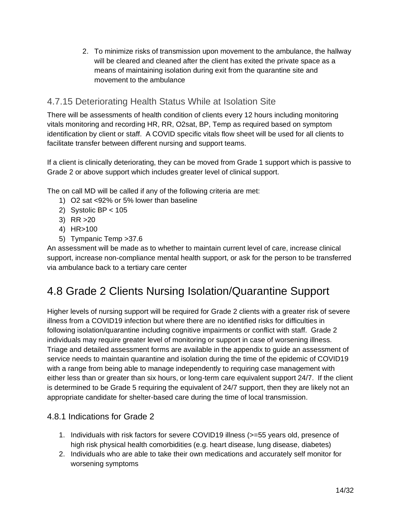2. To minimize risks of transmission upon movement to the ambulance, the hallway will be cleared and cleaned after the client has exited the private space as a means of maintaining isolation during exit from the quarantine site and movement to the ambulance

## <span id="page-14-0"></span>4.7.15 Deteriorating Health Status While at Isolation Site

There will be assessments of health condition of clients every 12 hours including monitoring vitals monitoring and recording HR, RR, O2sat, BP, Temp as required based on symptom identification by client or staff. A COVID specific vitals flow sheet will be used for all clients to facilitate transfer between different nursing and support teams.

If a client is clinically deteriorating, they can be moved from Grade 1 support which is passive to Grade 2 or above support which includes greater level of clinical support.

The on call MD will be called if any of the following criteria are met:

- 1) O2 sat <92% or 5% lower than baseline
- 2) Systolic BP < 105
- 3) RR >20
- 4) HR>100
- 5) Tympanic Temp >37.6

An assessment will be made as to whether to maintain current level of care, increase clinical support, increase non-compliance mental health support, or ask for the person to be transferred via ambulance back to a tertiary care center

## <span id="page-14-1"></span>4.8 Grade 2 Clients Nursing Isolation/Quarantine Support

Higher levels of nursing support will be required for Grade 2 clients with a greater risk of severe illness from a COVID19 infection but where there are no identified risks for difficulties in following isolation/quarantine including cognitive impairments or conflict with staff. Grade 2 individuals may require greater level of monitoring or support in case of worsening illness. Triage and detailed assessment forms are available in the appendix to guide an assessment of service needs to maintain quarantine and isolation during the time of the epidemic of COVID19 with a range from being able to manage independently to requiring case management with either less than or greater than six hours, or long-term care equivalent support 24/7. If the client is determined to be Grade 5 requiring the equivalent of 24/7 support, then they are likely not an appropriate candidate for shelter-based care during the time of local transmission.

#### <span id="page-14-2"></span>4.8.1 Indications for Grade 2

- 1. Individuals with risk factors for severe COVID19 illness (>=55 years old, presence of high risk physical health comorbidities (e.g. heart disease, lung disease, diabetes)
- 2. Individuals who are able to take their own medications and accurately self monitor for worsening symptoms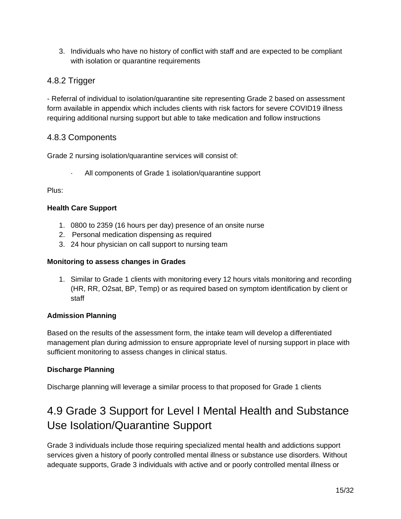3. Individuals who have no history of conflict with staff and are expected to be compliant with isolation or quarantine requirements

### <span id="page-15-0"></span>4.8.2 Trigger

- Referral of individual to isolation/quarantine site representing Grade 2 based on assessment form available in appendix which includes clients with risk factors for severe COVID19 illness requiring additional nursing support but able to take medication and follow instructions

### <span id="page-15-1"></span>4.8.3 Components

Grade 2 nursing isolation/quarantine services will consist of:

All components of Grade 1 isolation/quarantine support

Plus:

#### **Health Care Support**

- 1. 0800 to 2359 (16 hours per day) presence of an onsite nurse
- 2. Personal medication dispensing as required
- 3. 24 hour physician on call support to nursing team

#### **Monitoring to assess changes in Grades**

1. Similar to Grade 1 clients with monitoring every 12 hours vitals monitoring and recording (HR, RR, O2sat, BP, Temp) or as required based on symptom identification by client or staff

#### **Admission Planning**

Based on the results of the assessment form, the intake team will develop a differentiated management plan during admission to ensure appropriate level of nursing support in place with sufficient monitoring to assess changes in clinical status.

#### **Discharge Planning**

Discharge planning will leverage a similar process to that proposed for Grade 1 clients

## <span id="page-15-2"></span>4.9 Grade 3 Support for Level I Mental Health and Substance Use Isolation/Quarantine Support

Grade 3 individuals include those requiring specialized mental health and addictions support services given a history of poorly controlled mental illness or substance use disorders. Without adequate supports, Grade 3 individuals with active and or poorly controlled mental illness or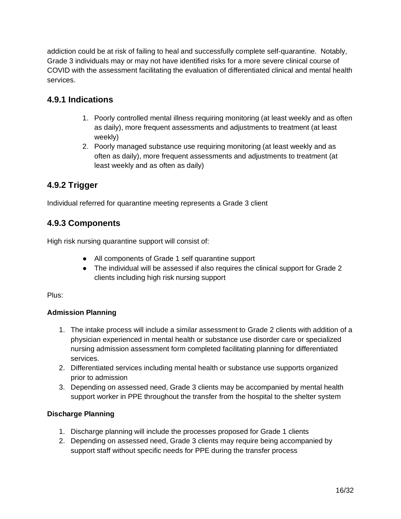addiction could be at risk of failing to heal and successfully complete self-quarantine. Notably, Grade 3 individuals may or may not have identified risks for a more severe clinical course of COVID with the assessment facilitating the evaluation of differentiated clinical and mental health services.

### <span id="page-16-0"></span>**4.9.1 Indications**

- 1. Poorly controlled mental illness requiring monitoring (at least weekly and as often as daily), more frequent assessments and adjustments to treatment (at least weekly)
- 2. Poorly managed substance use requiring monitoring (at least weekly and as often as daily), more frequent assessments and adjustments to treatment (at least weekly and as often as daily)

### <span id="page-16-1"></span>**4.9.2 Trigger**

Individual referred for quarantine meeting represents a Grade 3 client

### <span id="page-16-2"></span>**4.9.3 Components**

High risk nursing quarantine support will consist of:

- All components of Grade 1 self quarantine support
- The individual will be assessed if also requires the clinical support for Grade 2 clients including high risk nursing support

Plus:

#### **Admission Planning**

- 1. The intake process will include a similar assessment to Grade 2 clients with addition of a physician experienced in mental health or substance use disorder care or specialized nursing admission assessment form completed facilitating planning for differentiated services.
- 2. Differentiated services including mental health or substance use supports organized prior to admission
- 3. Depending on assessed need, Grade 3 clients may be accompanied by mental health support worker in PPE throughout the transfer from the hospital to the shelter system

#### **Discharge Planning**

- 1. Discharge planning will include the processes proposed for Grade 1 clients
- 2. Depending on assessed need, Grade 3 clients may require being accompanied by support staff without specific needs for PPE during the transfer process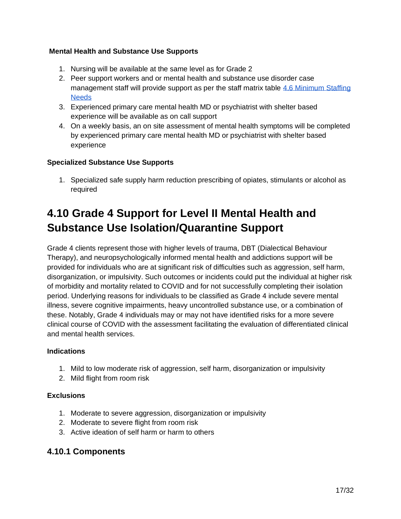#### **Mental Health and Substance Use Supports**

- 1. Nursing will be available at the same level as for Grade 2
- 2. Peer support workers and or mental health and substance use disorder case management staff will provide support as per the staff matrix table 4.6 Minimum Staffing **[Needs](#page-7-0)**
- 3. Experienced primary care mental health MD or psychiatrist with shelter based experience will be available as on call support
- 4. On a weekly basis, an on site assessment of mental health symptoms will be completed by experienced primary care mental health MD or psychiatrist with shelter based experience

#### **Specialized Substance Use Supports**

1. Specialized safe supply harm reduction prescribing of opiates, stimulants or alcohol as required

## <span id="page-17-0"></span>**4.10 Grade 4 Support for Level II Mental Health and Substance Use Isolation/Quarantine Support**

Grade 4 clients represent those with higher levels of trauma, DBT (Dialectical Behaviour Therapy), and neuropsychologically informed mental health and addictions support will be provided for individuals who are at significant risk of difficulties such as aggression, self harm, disorganization, or impulsivity. Such outcomes or incidents could put the individual at higher risk of morbidity and mortality related to COVID and for not successfully completing their isolation period. Underlying reasons for individuals to be classified as Grade 4 include severe mental illness, severe cognitive impairments, heavy uncontrolled substance use, or a combination of these. Notably, Grade 4 individuals may or may not have identified risks for a more severe clinical course of COVID with the assessment facilitating the evaluation of differentiated clinical and mental health services.

#### **Indications**

- 1. Mild to low moderate risk of aggression, self harm, disorganization or impulsivity
- 2. Mild flight from room risk

#### **Exclusions**

- 1. Moderate to severe aggression, disorganization or impulsivity
- 2. Moderate to severe flight from room risk
- 3. Active ideation of self harm or harm to others

#### <span id="page-17-1"></span>**4.10.1 Components**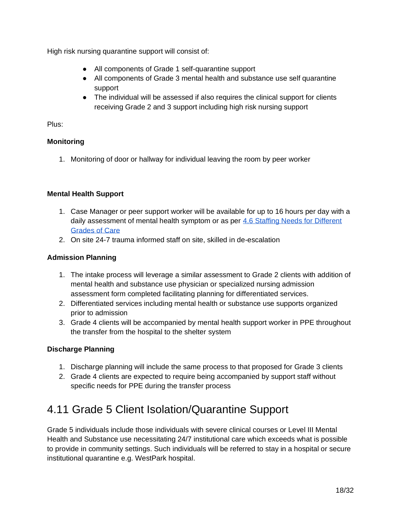High risk nursing quarantine support will consist of:

- All components of Grade 1 self-quarantine support
- All components of Grade 3 mental health and substance use self quarantine support
- The individual will be assessed if also requires the clinical support for clients receiving Grade 2 and 3 support including high risk nursing support

Plus:

#### **Monitoring**

1. Monitoring of door or hallway for individual leaving the room by peer worker

#### **Mental Health Support**

- 1. Case Manager or peer support worker will be available for up to 16 hours per day with a daily assessment of mental health symptom or as per [4.6 Staffing Needs for Different](#page-7-0)  [Grades of Care](#page-7-0)
- 2. On site 24-7 trauma informed staff on site, skilled in de-escalation

#### **Admission Planning**

- 1. The intake process will leverage a similar assessment to Grade 2 clients with addition of mental health and substance use physician or specialized nursing admission assessment form completed facilitating planning for differentiated services.
- 2. Differentiated services including mental health or substance use supports organized prior to admission
- 3. Grade 4 clients will be accompanied by mental health support worker in PPE throughout the transfer from the hospital to the shelter system

#### **Discharge Planning**

- 1. Discharge planning will include the same process to that proposed for Grade 3 clients
- 2. Grade 4 clients are expected to require being accompanied by support staff without specific needs for PPE during the transfer process

## <span id="page-18-0"></span>4.11 Grade 5 Client Isolation/Quarantine Support

Grade 5 individuals include those individuals with severe clinical courses or Level III Mental Health and Substance use necessitating 24/7 institutional care which exceeds what is possible to provide in community settings. Such individuals will be referred to stay in a hospital or secure institutional quarantine e.g. WestPark hospital.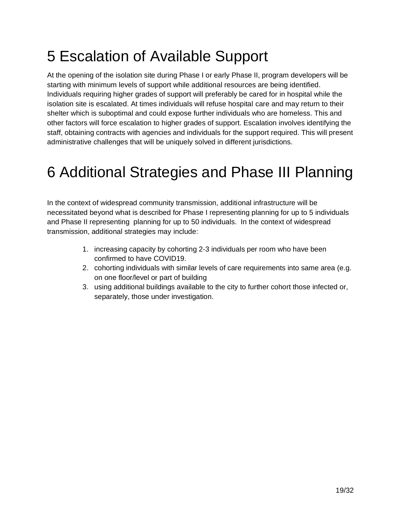# <span id="page-19-0"></span>5 Escalation of Available Support

At the opening of the isolation site during Phase I or early Phase II, program developers will be starting with minimum levels of support while additional resources are being identified. Individuals requiring higher grades of support will preferably be cared for in hospital while the isolation site is escalated. At times individuals will refuse hospital care and may return to their shelter which is suboptimal and could expose further individuals who are homeless. This and other factors will force escalation to higher grades of support. Escalation involves identifying the staff, obtaining contracts with agencies and individuals for the support required. This will present administrative challenges that will be uniquely solved in different jurisdictions.

# <span id="page-19-1"></span>6 Additional Strategies and Phase III Planning

In the context of widespread community transmission, additional infrastructure will be necessitated beyond what is described for Phase I representing planning for up to 5 individuals and Phase II representing planning for up to 50 individuals. In the context of widespread transmission, additional strategies may include:

- 1. increasing capacity by cohorting 2-3 individuals per room who have been confirmed to have COVID19.
- 2. cohorting individuals with similar levels of care requirements into same area (e.g. on one floor/level or part of building
- 3. using additional buildings available to the city to further cohort those infected or, separately, those under investigation.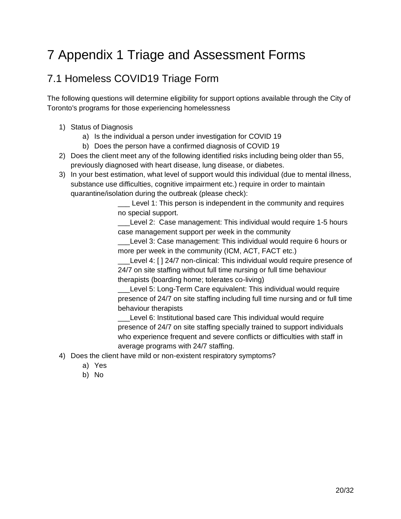# <span id="page-20-0"></span>7 Appendix 1 Triage and Assessment Forms

## <span id="page-20-1"></span>7.1 Homeless COVID19 Triage Form

The following questions will determine eligibility for support options available through the City of Toronto's programs for those experiencing homelessness

- 1) Status of Diagnosis
	- a) Is the individual a person under investigation for COVID 19
	- b) Does the person have a confirmed diagnosis of COVID 19
- 2) Does the client meet any of the following identified risks including being older than 55, previously diagnosed with heart disease, lung disease, or diabetes.
- 3) In your best estimation, what level of support would this individual (due to mental illness, substance use difficulties, cognitive impairment etc.) require in order to maintain quarantine/isolation during the outbreak (please check):

Level 1: This person is independent in the community and requires no special support.

Level 2: Case management: This individual would require 1-5 hours case management support per week in the community

Level 3: Case management: This individual would require 6 hours or more per week in the community (ICM, ACT, FACT etc.)

Level 4: [ ] 24/7 non-clinical: This individual would require presence of 24/7 on site staffing without full time nursing or full time behaviour therapists (boarding home; tolerates co-living)

Level 5: Long-Term Care equivalent: This individual would require presence of 24/7 on site staffing including full time nursing and or full time behaviour therapists

Level 6: Institutional based care This individual would require presence of 24/7 on site staffing specially trained to support individuals who experience frequent and severe conflicts or difficulties with staff in average programs with 24/7 staffing.

- 4) Does the client have mild or non-existent respiratory symptoms?
	- a) Yes
	- b) No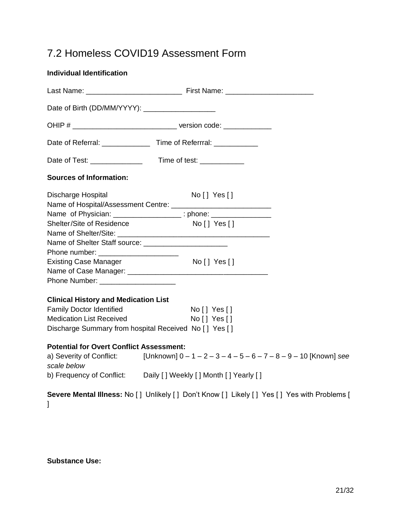## <span id="page-21-0"></span>7.2 Homeless COVID19 Assessment Form

| <b>Individual Identification</b>                      |                                                                                                    |
|-------------------------------------------------------|----------------------------------------------------------------------------------------------------|
|                                                       |                                                                                                    |
| Date of Birth (DD/MM/YYYY): ______________________    |                                                                                                    |
|                                                       |                                                                                                    |
|                                                       |                                                                                                    |
|                                                       |                                                                                                    |
| <b>Sources of Information:</b>                        |                                                                                                    |
| Discharge Hospital                                    | No [] Yes[]                                                                                        |
|                                                       |                                                                                                    |
| Shelter/Site of Residence                             | Name of Physician: __________________; phone: __________________________________<br>No [ ] Yes [ ] |
|                                                       |                                                                                                    |
|                                                       |                                                                                                    |
| Phone number: ________________________                |                                                                                                    |
| <b>Existing Case Manager</b>                          | $No [$   Yes $[]$                                                                                  |
|                                                       |                                                                                                    |
| Phone Number: ___________________                     |                                                                                                    |
| <b>Clinical History and Medication List</b>           |                                                                                                    |
| <b>Family Doctor Identified</b>                       | No [] Yes[]                                                                                        |
| <b>Medication List Received</b>                       | No [] Yes[]                                                                                        |
| Discharge Summary from hospital Received No [] Yes [] |                                                                                                    |
| <b>Potential for Overt Conflict Assessment:</b>       |                                                                                                    |
| scale below                                           | a) Severity of Conflict: [Unknown] $0 - 1 - 2 - 3 - 4 - 5 - 6 - 7 - 8 - 9 - 10$ [Known] see        |
|                                                       | b) Frequency of Conflict: Daily [] Weekly [] Month [] Yearly []                                    |
| J                                                     | Severe Mental Illness: No [] Unlikely [] Don't Know [] Likely [] Yes [] Yes with Problems [        |

**Substance Use:**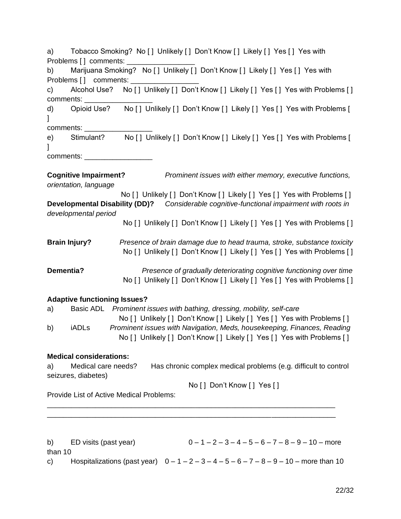| Tobacco Smoking? No [] Unlikely [] Don't Know [] Likely [] Yes [] Yes with<br>a)<br>Marijuana Smoking? No [] Unlikely [] Don't Know [] Likely [] Yes [] Yes with<br>b)                                                                         |
|------------------------------------------------------------------------------------------------------------------------------------------------------------------------------------------------------------------------------------------------|
| Alcohol Use? No [] Unlikely [] Don't Know [] Likely [] Yes [] Yes with Problems []<br>c)<br>comments: ________                                                                                                                                 |
| Opioid Use? No [] Unlikely [] Don't Know [] Likely [] Yes [] Yes with Problems [<br>d)<br>1                                                                                                                                                    |
| comments: _________                                                                                                                                                                                                                            |
| Stimulant? No [] Unlikely [] Don't Know [] Likely [] Yes [] Yes with Problems [<br>e)                                                                                                                                                          |
| comments: ____________________                                                                                                                                                                                                                 |
| <b>Cognitive Impairment?</b><br>Prominent issues with either memory, executive functions,<br>orientation, language                                                                                                                             |
| No [] Unlikely [] Don't Know [] Likely [] Yes [] Yes with Problems []<br>Developmental Disability (DD)? Considerable cognitive-functional impairment with roots in                                                                             |
| developmental period<br>No [] Unlikely [] Don't Know [] Likely [] Yes [] Yes with Problems []                                                                                                                                                  |
| <b>Brain Injury?</b><br>Presence of brain damage due to head trauma, stroke, substance toxicity<br>No [] Unlikely [] Don't Know [] Likely [] Yes [] Yes with Problems []                                                                       |
| Dementia?<br>Presence of gradually deteriorating cognitive functioning over time<br>No [] Unlikely [] Don't Know [] Likely [] Yes [] Yes with Problems []                                                                                      |
| <b>Adaptive functioning Issues?</b>                                                                                                                                                                                                            |
| Basic ADL Prominent issues with bathing, dressing, mobility, self-care<br>a)                                                                                                                                                                   |
| No [] Unlikely [] Don't Know [] Likely [] Yes [] Yes with Problems []<br>Prominent issues with Navigation, Meds, housekeeping, Finances, Reading<br>b)<br>iADLs<br>No [ ] Unlikely [ ] Don't Know [ ] Likely [ ] Yes [ ] Yes with Problems [ ] |
| <b>Medical considerations:</b>                                                                                                                                                                                                                 |
| Medical care needs?<br>Has chronic complex medical problems (e.g. difficult to control<br>a)<br>seizures, diabetes)                                                                                                                            |
| No [] Don't Know [] Yes []                                                                                                                                                                                                                     |
| <b>Provide List of Active Medical Problems:</b>                                                                                                                                                                                                |
|                                                                                                                                                                                                                                                |
| $0 - 1 - 2 - 3 - 4 - 5 - 6 - 7 - 8 - 9 - 10$ – more<br>ED visits (past year)<br>b)<br>than 10                                                                                                                                                  |

c) Hospitalizations (past year)  $0 - 1 - 2 - 3 - 4 - 5 - 6 - 7 - 8 - 9 - 10$  – more than 10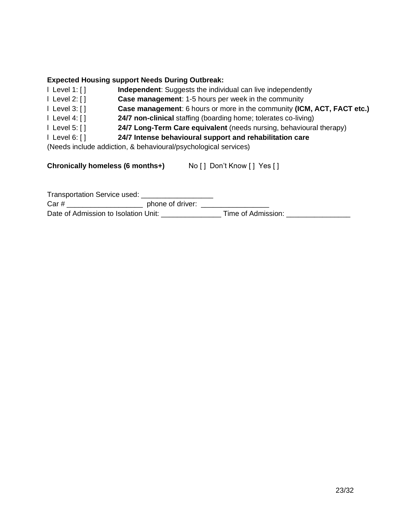#### **Expected Housing support Needs During Outbreak:**

- l Level 1: [ ] **Independent**: Suggests the individual can live independently
- l Level 2: [ ] **Case management**: 1-5 hours per week in the community
- l Level 3: [ ] **Case management**: 6 hours or more in the community **(ICM, ACT, FACT etc.)**
- l Level 4: [ ] **24/7 non-clinical** staffing (boarding home; tolerates co-living)
- l Level 5: [ ] **24/7 Long-Term Care equivalent** (needs nursing, behavioural therapy)
- l Level 6: [ ] **24/7 Intense behavioural support and rehabilitation care**

(Needs include addiction, & behavioural/psychological services)

**Chronically homeless (6 months+)** No [ ] Don't Know [ ] Yes [ ]

| <b>Transportation Service used:</b>  |                  |                    |  |
|--------------------------------------|------------------|--------------------|--|
| Car#                                 | phone of driver: |                    |  |
| Date of Admission to Isolation Unit: |                  | Time of Admission: |  |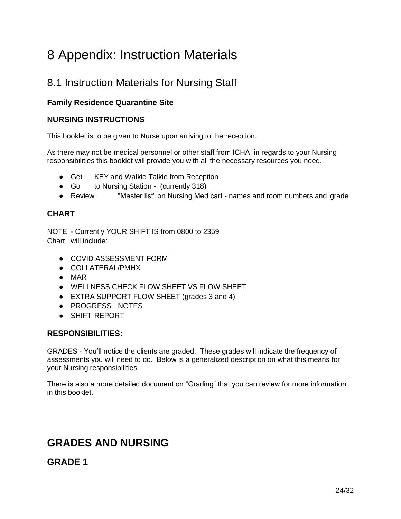# <span id="page-24-0"></span>8 Appendix: Instruction Materials

## <span id="page-24-1"></span>8.1 Instruction Materials for Nursing Staff

### **Family Residence Quarantine Site**

#### **NURSING INSTRUCTIONS**

This booklet is to be given to Nurse upon arriving to the reception.

As there may not be medical personnel or other staff from ICHA in regards to your Nursing responsibilities this booklet will provide you with all the necessary resources you need.

- Get KEY and Walkie Talkie from Reception
- Go to Nursing Station (currently 318)
- Review "Master list" on Nursing Med cart names and room numbers and grade

#### **CHART**

NOTE - Currently YOUR SHIFT IS from 0800 to 2359 Chart will include:

- COVID ASSESSMENT FORM
- COLLATERAL/PMHX
- MAR
- WELLNESS CHECK FLOW SHEET VS FLOW SHEET
- EXTRA SUPPORT FLOW SHEET (grades 3 and 4)
- PROGRESS NOTES
- SHIFT REPORT

#### **RESPONSIBILITIES:**

GRADES - You'll notice the clients are graded. These grades will indicate the frequency of assessments you will need to do. Below is a generalized description on what this means for your Nursing responsibilities

There is also a more detailed document on "Grading" that you can review for more information in this booklet.

## **GRADES AND NURSING**

## **GRADE 1**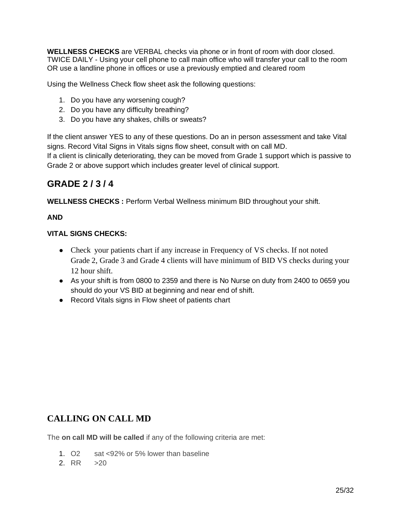**WELLNESS CHECKS** are VERBAL checks via phone or in front of room with door closed. TWICE DAILY - Using your cell phone to call main office who will transfer your call to the room OR use a landline phone in offices or use a previously emptied and cleared room

Using the Wellness Check flow sheet ask the following questions:

- 1. Do you have any worsening cough?
- 2. Do you have any difficulty breathing?
- 3. Do you have any shakes, chills or sweats?

If the client answer YES to any of these questions. Do an in person assessment and take Vital signs. Record Vital Signs in Vitals signs flow sheet, consult with on call MD.

If a client is clinically deteriorating, they can be moved from Grade 1 support which is passive to Grade 2 or above support which includes greater level of clinical support.

## **GRADE 2 / 3 / 4**

**WELLNESS CHECKS :** Perform Verbal Wellness minimum BID throughout your shift.

#### **AND**

#### **VITAL SIGNS CHECKS:**

- Check your patients chart if any increase in Frequency of VS checks. If not noted Grade 2, Grade 3 and Grade 4 clients will have minimum of BID VS checks during your 12 hour shift.
- As your shift is from 0800 to 2359 and there is No Nurse on duty from 2400 to 0659 you should do your VS BID at beginning and near end of shift.
- Record Vitals signs in Flow sheet of patients chart

### **CALLING ON CALL MD**

The **on call MD will be called** if any of the following criteria are met:

- 1. O2 sat <92% or 5% lower than baseline
- $2 \text{ RR}$   $>20$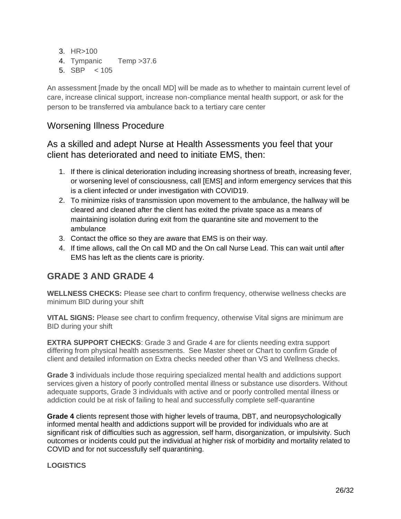- 3. HR>100
- 4. Tympanic Temp >37.6
- 5.  $SBP$  < 105

An assessment [made by the oncall MD] will be made as to whether to maintain current level of care, increase clinical support, increase non-compliance mental health support, or ask for the person to be transferred via ambulance back to a tertiary care center

## Worsening Illness Procedure

## As a skilled and adept Nurse at Health Assessments you feel that your client has deteriorated and need to initiate EMS, then:

- 1. If there is clinical deterioration including increasing shortness of breath, increasing fever, or worsening level of consciousness, call [EMS] and inform emergency services that this is a client infected or under investigation with COVID19.
- 2. To minimize risks of transmission upon movement to the ambulance, the hallway will be cleared and cleaned after the client has exited the private space as a means of maintaining isolation during exit from the quarantine site and movement to the ambulance
- 3. Contact the office so they are aware that EMS is on their way.
- 4. If time allows, call the On call MD and the On call Nurse Lead. This can wait until after EMS has left as the clients care is priority.

## **GRADE 3 AND GRADE 4**

**WELLNESS CHECKS:** Please see chart to confirm frequency, otherwise wellness checks are minimum BID during your shift

**VITAL SIGNS:** Please see chart to confirm frequency, otherwise Vital signs are minimum are BID during your shift

**EXTRA SUPPORT CHECKS:** Grade 3 and Grade 4 are for clients needing extra support differing from physical health assessments. See Master sheet or Chart to confirm Grade of client and detailed information on Extra checks needed other than VS and Wellness checks.

**Grade 3** individuals include those requiring specialized mental health and addictions support services given a history of poorly controlled mental illness or substance use disorders. Without adequate supports, Grade 3 individuals with active and or poorly controlled mental illness or addiction could be at risk of failing to heal and successfully complete self-quarantine

**Grade 4** clients represent those with higher levels of trauma, DBT, and neuropsychologically informed mental health and addictions support will be provided for individuals who are at significant risk of difficulties such as aggression, self harm, disorganization, or impulsivity. Such outcomes or incidents could put the individual at higher risk of morbidity and mortality related to COVID and for not successfully self quarantining.

#### **LOGISTICS**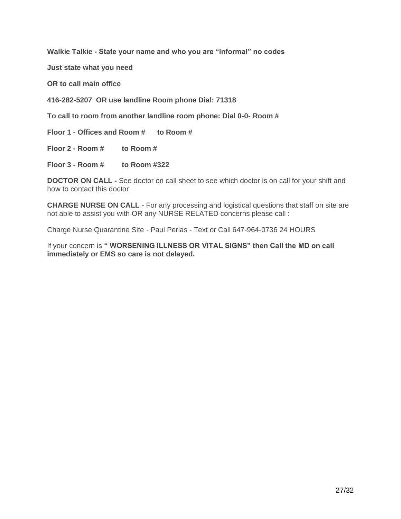**Walkie Talkie - State your name and who you are "informal" no codes**

**Just state what you need** 

**OR to call main office** 

**416-282-5207 OR use landline Room phone Dial: 71318**

**To call to room from another landline room phone: Dial 0-0- Room #**

**Floor 1 - Offices and Room # to Room #**

**Floor 2 - Room # to Room #**

**Floor 3 - Room # to Room #322**

**DOCTOR ON CALL -** See doctor on call sheet to see which doctor is on call for your shift and how to contact this doctor

**CHARGE NURSE ON CALL** - For any processing and logistical questions that staff on site are not able to assist you with OR any NURSE RELATED concerns please call :

Charge Nurse Quarantine Site - Paul Perlas - Text or Call 647-964-0736 24 HOURS

If your concern is **" WORSENING ILLNESS OR VITAL SIGNS" then Call the MD on call immediately or EMS so care is not delayed.**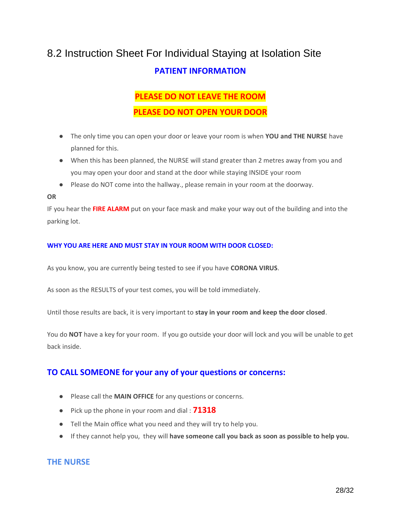## <span id="page-28-0"></span>8.2 Instruction Sheet For Individual Staying at Isolation Site **PATIENT INFORMATION**

## **PLEASE DO NOT LEAVE THE ROOM PLEASE DO NOT OPEN YOUR DOOR**

- The only time you can open your door or leave your room is when **YOU and THE NURSE** have planned for this.
- When this has been planned, the NURSE will stand greater than 2 metres away from you and you may open your door and stand at the door while staying INSIDE your room
- Please do NOT come into the hallway., please remain in your room at the doorway.

#### **OR**

IF you hear the **FIRE ALARM** put on your face mask and make your way out of the building and into the parking lot.

#### **WHY YOU ARE HERE AND MUST STAY IN YOUR ROOM WITH DOOR CLOSED:**

As you know, you are currently being tested to see if you have **CORONA VIRUS**.

As soon as the RESULTS of your test comes, you will be told immediately.

Until those results are back, it is very important to **stay in your room and keep the door closed**.

You do **NOT** have a key for your room. If you go outside your door will lock and you will be unable to get back inside.

#### **TO CALL SOMEONE for your any of your questions or concerns:**

- Please call the **MAIN OFFICE** for any questions or concerns.
- Pick up the phone in your room and dial : **71318**
- Tell the Main office what you need and they will try to help you.
- If they cannot help you, they will **have someone call you back as soon as possible to help you.**

#### **THE NURSE**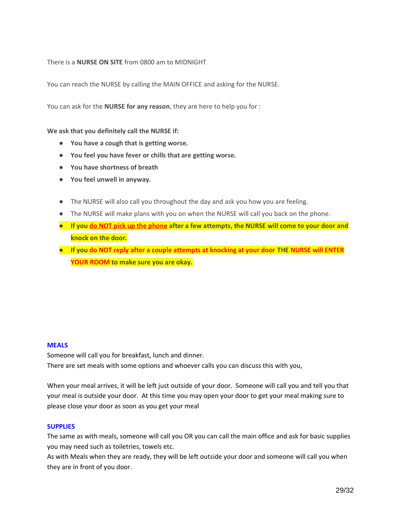#### There is a **NURSE ON SITE** from 0800 am to MIDNIGHT

You can reach the NURSE by calling the MAIN OFFICE and asking for the NURSE.

You can ask for the **NURSE for any reason**, they are here to help you for :

#### **We ask that you definitely call the NURSE if:**

- **You have a cough that is getting worse.**
- **You feel you have fever or chills that are getting worse.**
- **You have shortness of breath**
- **You feel unwell in anyway.**
- The NURSE will also call you throughout the day and ask you how you are feeling.
- The NURSE will make plans with you on when the NURSE will call you back on the phone.
- **If you do NOT pick up the phone after a few attempts, the NURSE will come to your door and knock on the door.**
- **If you do NOT reply after a couple attempts at knocking at your door THE NURSE will ENTER YOUR ROOM to make sure you are okay.**

#### **MEALS**

Someone will call you for breakfast, lunch and dinner. There are set meals with some options and whoever calls you can discuss this with you,

When your meal arrives, it will be left just outside of your door. Someone will call you and tell you that your meal is outside your door. At this time you may open your door to get your meal making sure to please close your door as soon as you get your meal

#### **SUPPLIES**

The same as with meals, someone will call you OR you can call the main office and ask for basic supplies you may need such as toiletries, towels etc.

As with Meals when they are ready, they will be left outside your door and someone will call you when they are in front of you door.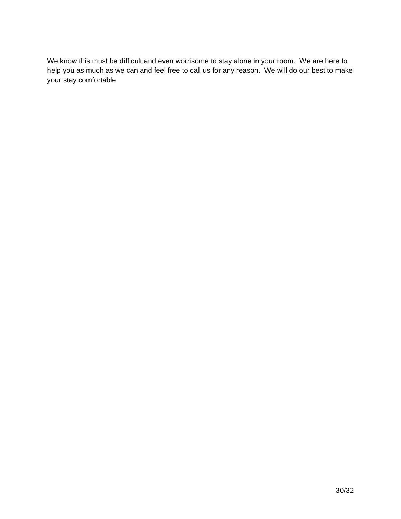We know this must be difficult and even worrisome to stay alone in your room. We are here to help you as much as we can and feel free to call us for any reason. We will do our best to make your stay comfortable